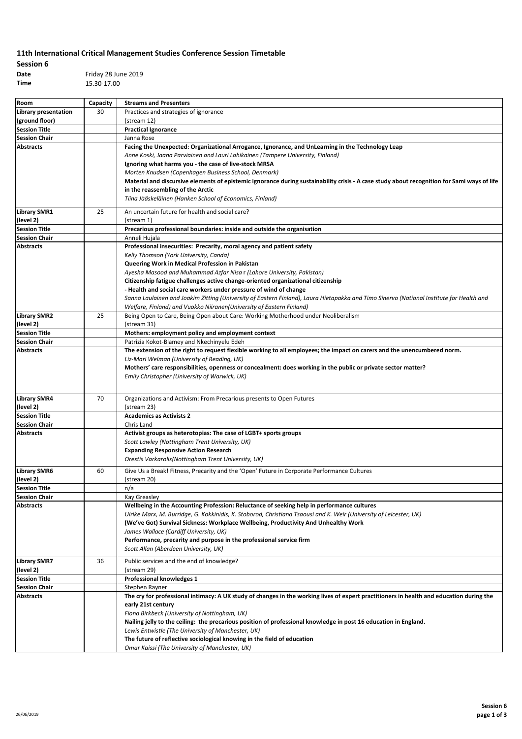## **11th International Critical Management Studies Conference Session Timetable**

## **Session 6**

**Date** Friday 28 June 2019 **Time** 15.30-17.00

| Room                              | Capacity | <b>Streams and Presenters</b>                                                                                                               |
|-----------------------------------|----------|---------------------------------------------------------------------------------------------------------------------------------------------|
| <b>Library presentation</b>       | 30       | Practices and strategies of ignorance                                                                                                       |
| (ground floor)                    |          | (stream 12)                                                                                                                                 |
| <b>Session Title</b>              |          | <b>Practical Ignorance</b>                                                                                                                  |
| <b>Session Chair</b>              |          | Janna Rose                                                                                                                                  |
| <b>Abstracts</b>                  |          | Facing the Unexpected: Organizational Arrogance, Ignorance, and UnLearning in the Technology Leap                                           |
|                                   |          | Anne Koski, Jaana Parviainen and Lauri Lahikainen (Tampere University, Finland)                                                             |
|                                   |          | Ignoring what harms you - the case of live-stock MRSA                                                                                       |
|                                   |          | Morten Knudsen (Copenhagen Business School, Denmark)                                                                                        |
|                                   |          | Material and discursive elements of epistemic ignorance during sustainability crisis - A case study about recognition for Sami ways of life |
|                                   |          | in the reassembling of the Arctic                                                                                                           |
|                                   |          | Tiina Jääskeläinen (Hanken School of Economics, Finland)                                                                                    |
| <b>Library SMR1</b>               | 25       | An uncertain future for health and social care?                                                                                             |
| (level 2)                         |          | (stream 1)                                                                                                                                  |
| <b>Session Title</b>              |          | Precarious professional boundaries: inside and outside the organisation                                                                     |
| <b>Session Chair</b>              |          | Anneli Hujala                                                                                                                               |
| <b>Abstracts</b>                  |          | Professional insecurities: Precarity, moral agency and patient safety                                                                       |
|                                   |          | Kelly Thomson (York University, Canda)                                                                                                      |
|                                   |          | Queering Work in Medical Profession in Pakistan                                                                                             |
|                                   |          | Ayesha Masood and Muhammad Azfar Nisa r (Lahore University, Pakistan)                                                                       |
|                                   |          | Citizenship fatigue challenges active change-oriented organizational citizenship                                                            |
|                                   |          | - Health and social care workers under pressure of wind of change                                                                           |
|                                   |          | Sanna Laulainen and Joakim Zitting (University of Eastern Finland), Laura Hietapakka and Timo Sinervo (National Institute for Health and    |
|                                   |          | Welfare, Finland) and Vuokko Niiranen (University of Eastern Finland)                                                                       |
| <b>Library SMR2</b>               | 25       | Being Open to Care, Being Open about Care: Working Motherhood under Neoliberalism                                                           |
| (level 2)                         |          | (stream 31)                                                                                                                                 |
| <b>Session Title</b>              |          | Mothers: employment policy and employment context                                                                                           |
| <b>Session Chair</b>              |          | Patrizia Kokot-Blamey and Nkechinyelu Edeh                                                                                                  |
| <b>Abstracts</b>                  |          | The extension of the right to request flexible working to all employees; the impact on carers and the unencumbered norm.                    |
|                                   |          | Liz-Mari Welman (University of Reading, UK)                                                                                                 |
|                                   |          | Mothers' care responsibilities, openness or concealment: does working in the public or private sector matter?                               |
|                                   |          | Emily Christopher (University of Warwick, UK)                                                                                               |
|                                   |          |                                                                                                                                             |
|                                   |          |                                                                                                                                             |
| <b>Library SMR4</b>               | 70       | Organizations and Activism: From Precarious presents to Open Futures                                                                        |
| (level 2)<br><b>Session Title</b> |          | (stream 23)<br><b>Academics as Activists 2</b>                                                                                              |
| <b>Session Chair</b>              |          | Chris Land                                                                                                                                  |
| <b>Abstracts</b>                  |          | Activist groups as heterotopias: The case of LGBT+ sports groups                                                                            |
|                                   |          | Scott Lawley (Nottingham Trent University, UK)                                                                                              |
|                                   |          | <b>Expanding Responsive Action Research</b>                                                                                                 |
|                                   |          | Orestis Varkarolis(Nottingham Trent University, UK)                                                                                         |
|                                   |          |                                                                                                                                             |
| <b>Library SMR6</b>               | 60       | Give Us a Break! Fitness, Precarity and the 'Open' Future in Corporate Performance Cultures                                                 |
| (level 2)                         |          | (stream 20)                                                                                                                                 |
| <b>Session Title</b>              |          | n/a                                                                                                                                         |
| <b>Session Chair</b>              |          | Kay Greasley                                                                                                                                |
| <b>Abstracts</b>                  |          | Wellbeing in the Accounting Profession: Reluctance of seeking help in performance cultures                                                  |
|                                   |          | Ulrike Marx, M. Burridge, G. Kokkinidis, K. Stoborod, Christiana Tsaousi and K. Weir (University of Leicester, UK)                          |
|                                   |          | (We've Got) Survival Sickness: Workplace Wellbeing, Productivity And Unhealthy Work<br>James Wallace (Cardiff University, UK)               |
|                                   |          | Performance, precarity and purpose in the professional service firm                                                                         |
|                                   |          | Scott Allan (Aberdeen University, UK)                                                                                                       |
|                                   |          |                                                                                                                                             |
| <b>Library SMR7</b>               | 36       | Public services and the end of knowledge?                                                                                                   |
| (level 2)                         |          | (stream 29)                                                                                                                                 |
| <b>Session Title</b>              |          | Professional knowledges 1                                                                                                                   |
| <b>Session Chair</b>              |          | Stephen Rayner                                                                                                                              |
| <b>Abstracts</b>                  |          | The cry for professional intimacy: A UK study of changes in the working lives of expert practitioners in health and education during the    |
|                                   |          | early 21st century                                                                                                                          |
|                                   |          | Fiona Birkbeck (University of Nottingham, UK)                                                                                               |
|                                   |          | Nailing jelly to the ceiling: the precarious position of professional knowledge in post 16 education in England.                            |
|                                   |          | Lewis Entwistle (The University of Manchester, UK)                                                                                          |
|                                   |          | The future of reflective sociological knowing in the field of education                                                                     |
|                                   |          | Omar Kaissi (The University of Manchester, UK)                                                                                              |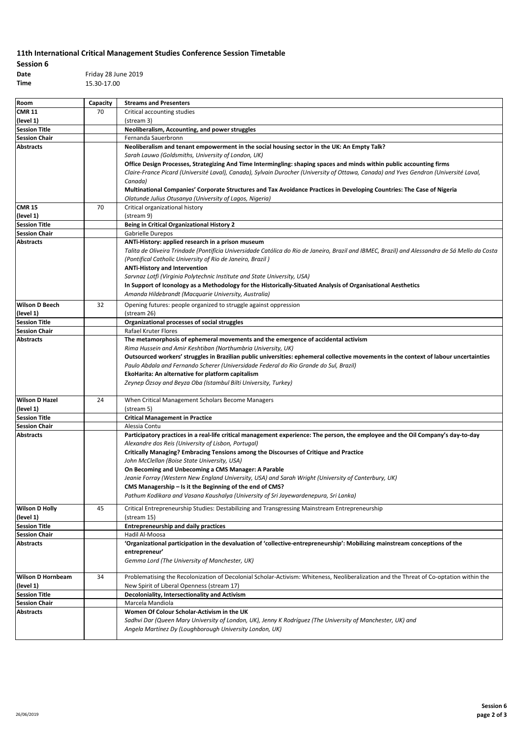## **11th International Critical Management Studies Conference Session Timetable**

| Session 6 |                     |
|-----------|---------------------|
| Date      | Friday 28 June 2019 |
| Time      | 15.30-17.00         |

| Room                       | Capacity | <b>Streams and Presenters</b>                                                                                                                  |
|----------------------------|----------|------------------------------------------------------------------------------------------------------------------------------------------------|
| <b>CMR 11</b>              | 70       | Critical accounting studies                                                                                                                    |
| (level 1)                  |          | (stream 3)                                                                                                                                     |
| <b>Session Title</b>       |          | Neoliberalism, Accounting, and power struggles                                                                                                 |
| <b>Session Chair</b>       |          | Fernanda Sauerbronn                                                                                                                            |
| <b>Abstracts</b>           |          | Neoliberalism and tenant empowerment in the social housing sector in the UK: An Empty Talk?                                                    |
|                            |          | Sarah Lauwo (Goldsmiths, University of London, UK)                                                                                             |
|                            |          | Office Design Processes, Strategizing And Time Intermingling: shaping spaces and minds within public accounting firms                          |
|                            |          | Claire-France Picard (Université Laval), Canada), Sylvain Durocher (University of Ottawa, Canada) and Yves Gendron (Université Laval,          |
|                            |          | Canada)                                                                                                                                        |
|                            |          | Multinational Companies' Corporate Structures and Tax Avoidance Practices in Developing Countries: The Case of Nigeria                         |
|                            |          | Olatunde Julius Otusanya (University of Lagos, Nigeria)                                                                                        |
| <b>CMR 15</b><br>(level 1) | 70       | Critical organizational history<br>(stream 9)                                                                                                  |
| <b>Session Title</b>       |          | <b>Being in Critical Organizational History 2</b>                                                                                              |
| <b>Session Chair</b>       |          | Gabrielle Durepos                                                                                                                              |
| <b>Abstracts</b>           |          | ANTi-History: applied research in a prison museum                                                                                              |
|                            |          | Talita de Oliveira Trindade (Pontifícia Universidade Católica do Rio de Janeiro, Brazil and IBMEC, Brazil) and Alessandra de Sá Mello da Costa |
|                            |          | (Pontifical Catholic University of Rio de Janeiro, Brazil)                                                                                     |
|                            |          | <b>ANTi-History and Intervention</b>                                                                                                           |
|                            |          | Sarvnaz Lotfi (Virginia Polytechnic Institute and State University, USA)                                                                       |
|                            |          | In Support of Iconology as a Methodology for the Historically-Situated Analysis of Organisational Aesthetics                                   |
|                            |          | Amanda Hildebrandt (Macquarie University, Australia)                                                                                           |
| <b>Wilson D Beech</b>      | 32       | Opening futures: people organized to struggle against oppression                                                                               |
| (level 1)                  |          | (stream 26)                                                                                                                                    |
| <b>Session Title</b>       |          | Organizational processes of social struggles                                                                                                   |
| <b>Session Chair</b>       |          | <b>Rafael Kruter Flores</b>                                                                                                                    |
| <b>Abstracts</b>           |          | The metamorphosis of ephemeral movements and the emergence of accidental activism                                                              |
|                            |          | Rima Hussein and Amir Keshtiban (Northumbria University, UK)                                                                                   |
|                            |          | Outsourced workers' struggles in Brazilian public universities: ephemeral collective movements in the context of labour uncertainties          |
|                            |          | Paulo Abdala and Fernando Scherer (Universidade Federal do Rio Grande do Sul, Brazil)                                                          |
|                            |          | EkoHarita: An alternative for platform capitalism                                                                                              |
|                            |          | Zeynep Özsoy and Beyza Oba (Istambul Bilti University, Turkey)                                                                                 |
| <b>Wilson D Hazel</b>      | 24       | When Critical Management Scholars Become Managers                                                                                              |
| (level 1)                  |          | (stream 5)                                                                                                                                     |
| <b>Session Title</b>       |          | <b>Critical Management in Practice</b>                                                                                                         |
| <b>Session Chair</b>       |          | Alessia Contu                                                                                                                                  |
| Abstracts                  |          | Participatory practices in a real-life critical management experience: The person, the employee and the Oil Company's day-to-day               |
|                            |          | Alexandre dos Reis (University of Lisbon, Portugal)                                                                                            |
|                            |          | Critically Managing? Embracing Tensions among the Discourses of Critique and Practice                                                          |
|                            |          | John McClellan (Boise State University, USA)                                                                                                   |
|                            |          | On Becoming and Unbecoming a CMS Manager: A Parable                                                                                            |
|                            |          | Jeanie Forray (Western New England University, USA) and Sarah Wright (University of Canterbury, UK)                                            |
|                            |          | CMS Managership - Is it the Beginning of the end of CMS?                                                                                       |
|                            |          | Pathum Kodikara and Vasana Kaushalya (University of Sri Jayewardenepura, Sri Lanka)                                                            |
| <b>Wilson D Holly</b>      | 45       | Critical Entrepreneurship Studies: Destabilizing and Transgressing Mainstream Entrepreneurship                                                 |
| (level 1)                  |          | (stream 15)                                                                                                                                    |
| <b>Session Title</b>       |          | <b>Entrepreneurship and daily practices</b>                                                                                                    |
| <b>Session Chair</b>       |          | Hadil Al-Moosa                                                                                                                                 |
| <b>Abstracts</b>           |          | 'Organizational participation in the devaluation of 'collective-entrepreneurship': Mobilizing mainstream conceptions of the                    |
|                            |          | entrepreneur'                                                                                                                                  |
|                            |          | Gemma Lord (The University of Manchester, UK)                                                                                                  |
| <b>Wilson D Hornbeam</b>   | 34       | Problematising the Recolonization of Decolonial Scholar-Activism: Whiteness, Neoliberalization and the Threat of Co-optation within the        |
| (level 1)                  |          | New Spirit of Liberal Openness (stream 17)                                                                                                     |
| <b>Session Title</b>       |          | Decoloniality, Intersectionality and Activism                                                                                                  |
| <b>Session Chair</b>       |          | Marcela Mandiola                                                                                                                               |
| <b>Abstracts</b>           |          | Women Of Colour Scholar-Activism in the UK                                                                                                     |
|                            |          | Sadhvi Dar (Queen Mary University of London, UK), Jenny K Rodríguez (The University of Manchester, UK) and                                     |
|                            |          | Angela Martínez Dy (Loughborough University London, UK)                                                                                        |
|                            |          |                                                                                                                                                |